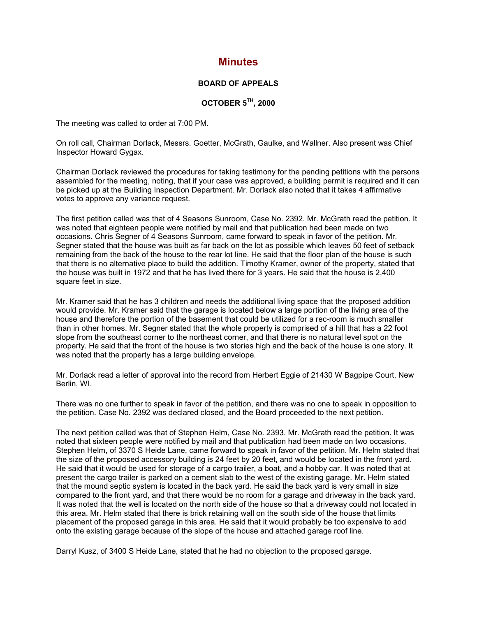## **Minutes**

## **BOARD OF APPEALS**

## **OCTOBER 5TH, 2000**

The meeting was called to order at 7:00 PM.

On roll call, Chairman Dorlack, Messrs. Goetter, McGrath, Gaulke, and Wallner. Also present was Chief Inspector Howard Gygax.

Chairman Dorlack reviewed the procedures for taking testimony for the pending petitions with the persons assembled for the meeting, noting, that if your case was approved, a building permit is required and it can be picked up at the Building Inspection Department. Mr. Dorlack also noted that it takes 4 affirmative votes to approve any variance request.

The first petition called was that of 4 Seasons Sunroom, Case No. 2392. Mr. McGrath read the petition. It was noted that eighteen people were notified by mail and that publication had been made on two occasions. Chris Segner of 4 Seasons Sunroom, came forward to speak in favor of the petition. Mr. Segner stated that the house was built as far back on the lot as possible which leaves 50 feet of setback remaining from the back of the house to the rear lot line. He said that the floor plan of the house is such that there is no alternative place to build the addition. Timothy Kramer, owner of the property, stated that the house was built in 1972 and that he has lived there for 3 years. He said that the house is 2,400 square feet in size.

Mr. Kramer said that he has 3 children and needs the additional living space that the proposed addition would provide. Mr. Kramer said that the garage is located below a large portion of the living area of the house and therefore the portion of the basement that could be utilized for a rec-room is much smaller than in other homes. Mr. Segner stated that the whole property is comprised of a hill that has a 22 foot slope from the southeast corner to the northeast corner, and that there is no natural level spot on the property. He said that the front of the house is two stories high and the back of the house is one story. It was noted that the property has a large building envelope.

Mr. Dorlack read a letter of approval into the record from Herbert Eggie of 21430 W Bagpipe Court, New Berlin, WI.

There was no one further to speak in favor of the petition, and there was no one to speak in opposition to the petition. Case No. 2392 was declared closed, and the Board proceeded to the next petition.

The next petition called was that of Stephen Helm, Case No. 2393. Mr. McGrath read the petition. It was noted that sixteen people were notified by mail and that publication had been made on two occasions. Stephen Helm, of 3370 S Heide Lane, came forward to speak in favor of the petition. Mr. Helm stated that the size of the proposed accessory building is 24 feet by 20 feet, and would be located in the front yard. He said that it would be used for storage of a cargo trailer, a boat, and a hobby car. It was noted that at present the cargo trailer is parked on a cement slab to the west of the existing garage. Mr. Helm stated that the mound septic system is located in the back yard. He said the back yard is very small in size compared to the front yard, and that there would be no room for a garage and driveway in the back yard. It was noted that the well is located on the north side of the house so that a driveway could not located in this area. Mr. Helm stated that there is brick retaining wall on the south side of the house that limits placement of the proposed garage in this area. He said that it would probably be too expensive to add onto the existing garage because of the slope of the house and attached garage roof line.

Darryl Kusz, of 3400 S Heide Lane, stated that he had no objection to the proposed garage.